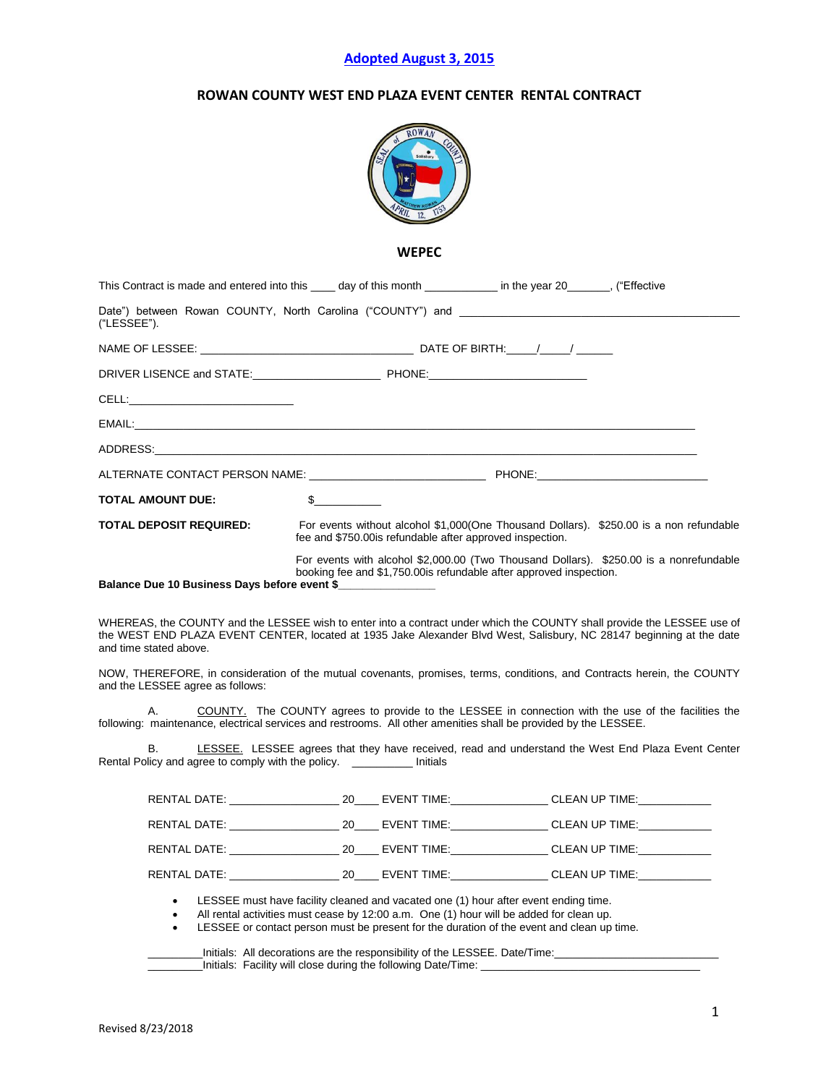## **Adopted August 3, 2015**

# **ROWAN COUNTY WEST END PLAZA EVENT CENTER RENTAL CONTRACT**



**WEPEC**

| This Contract is made and entered into this _____ day of this month ______________ in the year 20________, ("Effective                                                                                                                                                    |              |                                                                                                                                                                                                                                                                             |                                                                                                     |  |
|---------------------------------------------------------------------------------------------------------------------------------------------------------------------------------------------------------------------------------------------------------------------------|--------------|-----------------------------------------------------------------------------------------------------------------------------------------------------------------------------------------------------------------------------------------------------------------------------|-----------------------------------------------------------------------------------------------------|--|
| Date") between Rowan COUNTY, North Carolina ("COUNTY") and<br>("LESSEE").                                                                                                                                                                                                 |              |                                                                                                                                                                                                                                                                             |                                                                                                     |  |
|                                                                                                                                                                                                                                                                           |              |                                                                                                                                                                                                                                                                             |                                                                                                     |  |
|                                                                                                                                                                                                                                                                           |              |                                                                                                                                                                                                                                                                             |                                                                                                     |  |
| <b>CELL: CELL</b> :                                                                                                                                                                                                                                                       |              |                                                                                                                                                                                                                                                                             |                                                                                                     |  |
|                                                                                                                                                                                                                                                                           |              |                                                                                                                                                                                                                                                                             |                                                                                                     |  |
|                                                                                                                                                                                                                                                                           |              |                                                                                                                                                                                                                                                                             |                                                                                                     |  |
|                                                                                                                                                                                                                                                                           |              |                                                                                                                                                                                                                                                                             |                                                                                                     |  |
| <b>TOTAL AMOUNT DUE:</b>                                                                                                                                                                                                                                                  | $\mathbb{S}$ |                                                                                                                                                                                                                                                                             |                                                                                                     |  |
| <b>TOTAL DEPOSIT REQUIRED:</b><br>For events without alcohol \$1,000(One Thousand Dollars). \$250.00 is a non refundable<br>fee and \$750.00 is refundable after approved inspection.                                                                                     |              |                                                                                                                                                                                                                                                                             |                                                                                                     |  |
| Balance Due 10 Business Days before event \$                                                                                                                                                                                                                              |              | booking fee and \$1,750.00is refundable after approved inspection.                                                                                                                                                                                                          | For events with alcohol \$2,000.00 (Two Thousand Dollars). \$250.00 is a nonrefundable              |  |
| WHEREAS, the COUNTY and the LESSEE wish to enter into a contract under which the COUNTY shall provide the LESSEE use of<br>the WEST END PLAZA EVENT CENTER, located at 1935 Jake Alexander Blvd West, Salisbury, NC 28147 beginning at the date<br>and time stated above. |              |                                                                                                                                                                                                                                                                             |                                                                                                     |  |
| NOW, THEREFORE, in consideration of the mutual covenants, promises, terms, conditions, and Contracts herein, the COUNTY<br>and the LESSEE agree as follows:                                                                                                               |              |                                                                                                                                                                                                                                                                             |                                                                                                     |  |
| А.<br>following: maintenance, electrical services and restrooms. All other amenities shall be provided by the LESSEE.                                                                                                                                                     |              |                                                                                                                                                                                                                                                                             | COUNTY. The COUNTY agrees to provide to the LESSEE in connection with the use of the facilities the |  |
| В.<br>Rental Policy and agree to comply with the policy. The limitials                                                                                                                                                                                                    |              |                                                                                                                                                                                                                                                                             | LESSEE. LESSEE agrees that they have received, read and understand the West End Plaza Event Center  |  |
|                                                                                                                                                                                                                                                                           |              |                                                                                                                                                                                                                                                                             |                                                                                                     |  |
|                                                                                                                                                                                                                                                                           |              |                                                                                                                                                                                                                                                                             |                                                                                                     |  |
|                                                                                                                                                                                                                                                                           |              |                                                                                                                                                                                                                                                                             |                                                                                                     |  |
| RENTAL DATE: ____________________________20______ EVENT TIME:____________________ CLEAN UP TIME:_____________                                                                                                                                                             |              |                                                                                                                                                                                                                                                                             |                                                                                                     |  |
| $\bullet$<br>$\bullet$<br>$\bullet$                                                                                                                                                                                                                                       |              | LESSEE must have facility cleaned and vacated one (1) hour after event ending time.<br>All rental activities must cease by 12:00 a.m. One (1) hour will be added for clean up.<br>LESSEE or contact person must be present for the duration of the event and clean up time. |                                                                                                     |  |

\_\_\_\_\_\_\_\_\_Initials: Facility will close during the following Date/Time: \_\_\_\_\_\_\_\_\_\_\_\_\_\_\_\_\_\_\_\_\_\_\_\_\_\_\_\_\_\_\_\_\_\_\_\_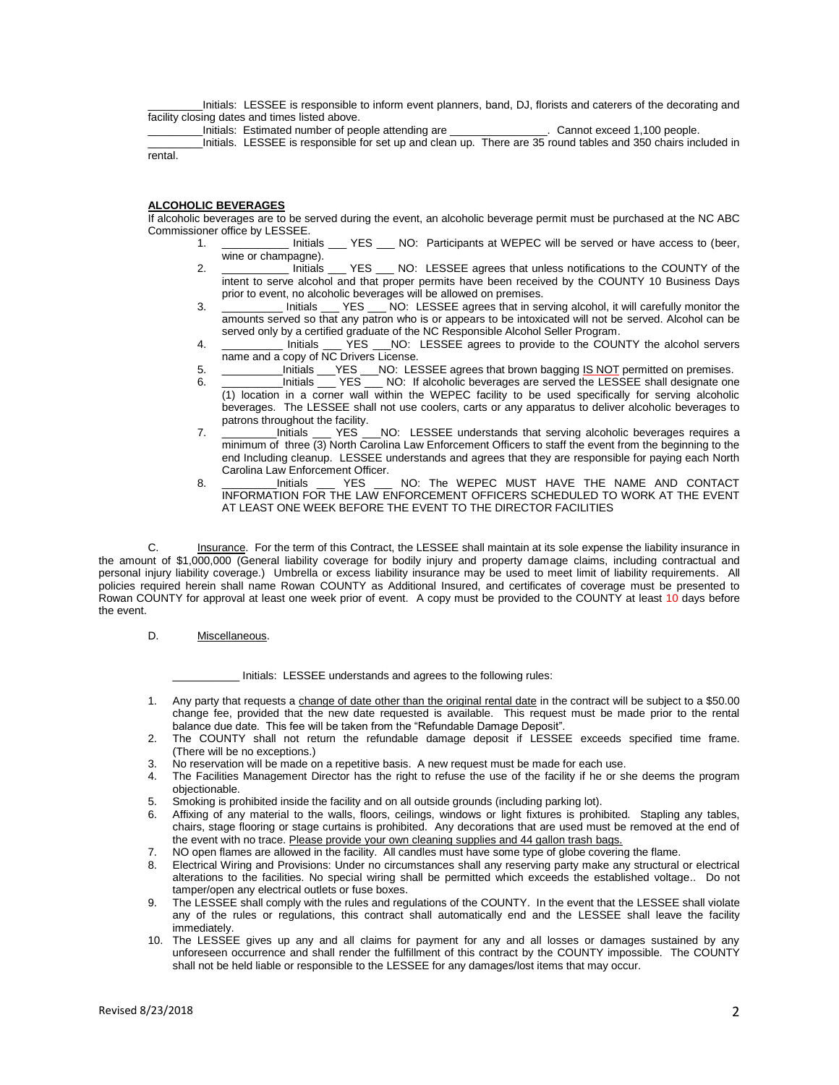\_\_\_\_\_\_\_\_\_Initials: LESSEE is responsible to inform event planners, band, DJ, florists and caterers of the decorating and facility closing dates and times listed above.

\_\_\_\_\_\_\_\_\_Initials: Estimated number of people attending are \_\_\_\_\_\_\_\_\_\_\_\_\_\_\_\_. Cannot exceed 1,100 people.

\_\_\_\_\_\_\_\_\_Initials. LESSEE is responsible for set up and clean up. There are 35 round tables and 350 chairs included in rental.

### **ALCOHOLIC BEVERAGES**

If alcoholic beverages are to be served during the event, an alcoholic beverage permit must be purchased at the NC ABC Commissioner office by LESSEE.<br>1. \_\_\_\_\_\_\_\_\_\_\_\_\_ Initials

- 1. \_\_\_\_\_\_\_\_\_\_\_ Initials \_\_\_ YES \_\_\_ NO: Participants at WEPEC will be served or have access to (beer, wine or champagne).<br>Initials
- 2. **Example 2.** Initials **EXECUTY OF STATE Agrees that unless notifications to the COUNTY of the** intent to serve alcohol and that proper permits have been received by the COUNTY 10 Business Days prior to event, no alcoholic beverages will be allowed on premises.
- 3. \_\_\_\_\_\_\_\_\_\_ Initials \_\_\_ YES \_\_\_ NO: LESSEE agrees that in serving alcohol, it will carefully monitor the amounts served so that any patron who is or appears to be intoxicated will not be served. Alcohol can be served only by a certified graduate of the NC Responsible Alcohol Seller Program.
- 4. \_\_\_\_\_\_\_\_\_\_ Initials \_\_\_ YES \_\_\_NO: LESSEE agrees to provide to the COUNTY the alcohol servers name and a copy of NC Drivers License.
- 5. \_\_\_\_\_\_\_\_\_\_\_\_\_Initials \_\_\_\_YES \_\_\_\_NO: LESSEE agrees that brown bagging <u>IS NOT</u> permitted on premises.<br>6. \_\_\_\_\_\_\_\_\_\_\_Initials \_\_\_\_ YES \_\_\_\_ NO: If alcoholic beverages are served the LESSEE shall designate one
- 6. \_\_\_\_\_\_\_\_\_\_Initials \_\_\_ YES \_\_\_ NO: If alcoholic beverages are served the LESSEE shall designate one (1) location in a corner wall within the WEPEC facility to be used specifically for serving alcoholic beverages. The LESSEE shall not use coolers, carts or any apparatus to deliver alcoholic beverages to patrons throughout the facility.
- 7. **\_\_\_\_\_\_\_\_\_\_**Initials \_\_\_ YES \_\_\_NO: LESSEE understands that serving alcoholic beverages requires a minimum of three (3) North Carolina Law Enforcement Officers to staff the event from the beginning to the end Including cleanup. LESSEE understands and agrees that they are responsible for paying each North Carolina Law Enforcement Officer.
- 8. \_\_\_\_\_\_\_\_Initials \_\_\_ YES \_\_\_ NO: The WEPEC MUST HAVE THE NAME AND CONTACT INFORMATION FOR THE LAW ENFORCEMENT OFFICERS SCHEDULED TO WORK AT THE EVENT AT LEAST ONE WEEK BEFORE THE EVENT TO THE DIRECTOR FACILITIES

C. Insurance. For the term of this Contract, the LESSEE shall maintain at its sole expense the liability insurance in the amount of \$1,000,000 (General liability coverage for bodily injury and property damage claims, including contractual and personal injury liability coverage.) Umbrella or excess liability insurance may be used to meet limit of liability requirements. All policies required herein shall name Rowan COUNTY as Additional Insured, and certificates of coverage must be presented to Rowan COUNTY for approval at least one week prior of event. A copy must be provided to the COUNTY at least 10 days before the event.

#### D. Miscellaneous.

Initials: LESSEE understands and agrees to the following rules:

- 1. Any party that requests a change of date other than the original rental date in the contract will be subject to a \$50.00 change fee, provided that the new date requested is available. This request must be made prior to the rental balance due date. This fee will be taken from the "Refundable Damage Deposit".
- 2. The COUNTY shall not return the refundable damage deposit if LESSEE exceeds specified time frame. (There will be no exceptions.)
- 3. No reservation will be made on a repetitive basis. A new request must be made for each use.
- 4. The Facilities Management Director has the right to refuse the use of the facility if he or she deems the program objectionable.
- 5. Smoking is prohibited inside the facility and on all outside grounds (including parking lot).
- Affixing of any material to the walls, floors, ceilings, windows or light fixtures is prohibited. Stapling any tables, chairs, stage flooring or stage curtains is prohibited. Any decorations that are used must be removed at the end of the event with no trace. Please provide your own cleaning supplies and 44 gallon trash bags.
- 7. NO open flames are allowed in the facility. All candles must have some type of globe covering the flame.<br>8. Electrical Wiring and Provisions: Under no circumstances shall any reserving party make any structural
- Electrical Wiring and Provisions: Under no circumstances shall any reserving party make any structural or electrical alterations to the facilities. No special wiring shall be permitted which exceeds the established voltage.. Do not tamper/open any electrical outlets or fuse boxes.
- 9. The LESSEE shall comply with the rules and regulations of the COUNTY. In the event that the LESSEE shall violate any of the rules or regulations, this contract shall automatically end and the LESSEE shall leave the facility immediately.
- 10. The LESSEE gives up any and all claims for payment for any and all losses or damages sustained by any unforeseen occurrence and shall render the fulfillment of this contract by the COUNTY impossible. The COUNTY shall not be held liable or responsible to the LESSEE for any damages/lost items that may occur.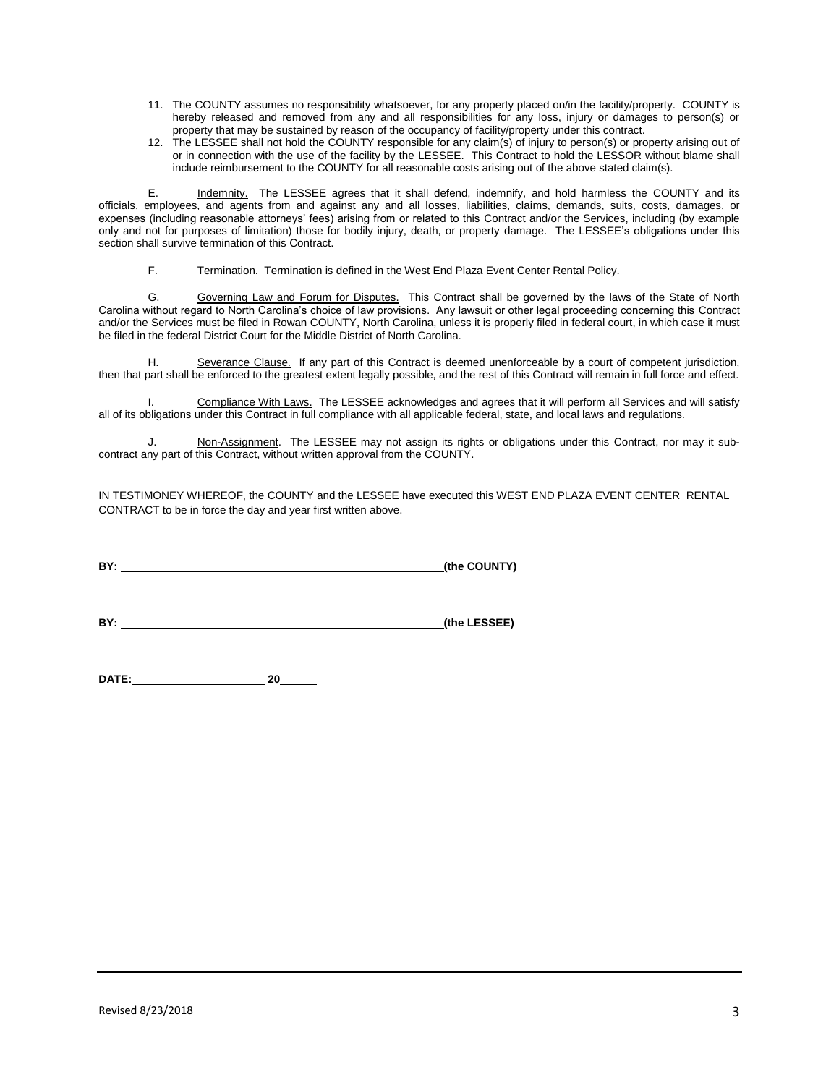- 11. The COUNTY assumes no responsibility whatsoever, for any property placed on/in the facility/property. COUNTY is hereby released and removed from any and all responsibilities for any loss, injury or damages to person(s) or property that may be sustained by reason of the occupancy of facility/property under this contract.
- 12. The LESSEE shall not hold the COUNTY responsible for any claim(s) of injury to person(s) or property arising out of or in connection with the use of the facility by the LESSEE. This Contract to hold the LESSOR without blame shall include reimbursement to the COUNTY for all reasonable costs arising out of the above stated claim(s).

E. Indemnity. The LESSEE agrees that it shall defend, indemnify, and hold harmless the COUNTY and its officials, employees, and agents from and against any and all losses, liabilities, claims, demands, suits, costs, damages, or expenses (including reasonable attorneys' fees) arising from or related to this Contract and/or the Services, including (by example only and not for purposes of limitation) those for bodily injury, death, or property damage. The LESSEE's obligations under this section shall survive termination of this Contract.

F. Termination. Termination is defined in the West End Plaza Event Center Rental Policy.

G. Governing Law and Forum for Disputes. This Contract shall be governed by the laws of the State of North Carolina without regard to North Carolina's choice of law provisions. Any lawsuit or other legal proceeding concerning this Contract and/or the Services must be filed in Rowan COUNTY, North Carolina, unless it is properly filed in federal court, in which case it must be filed in the federal District Court for the Middle District of North Carolina.

H. Severance Clause. If any part of this Contract is deemed unenforceable by a court of competent jurisdiction, then that part shall be enforced to the greatest extent legally possible, and the rest of this Contract will remain in full force and effect.

Compliance With Laws. The LESSEE acknowledges and agrees that it will perform all Services and will satisfy all of its obligations under this Contract in full compliance with all applicable federal, state, and local laws and regulations.

J. Non-Assignment. The LESSEE may not assign its rights or obligations under this Contract, nor may it subcontract any part of this Contract, without written approval from the COUNTY.

IN TESTIMONEY WHEREOF, the COUNTY and the LESSEE have executed this WEST END PLAZA EVENT CENTER RENTAL CONTRACT to be in force the day and year first written above.

**BY: (the COUNTY)**

**BY:** (the LESSEE)

**DATE: \_\_\_ 20\_\_\_\_\_\_**